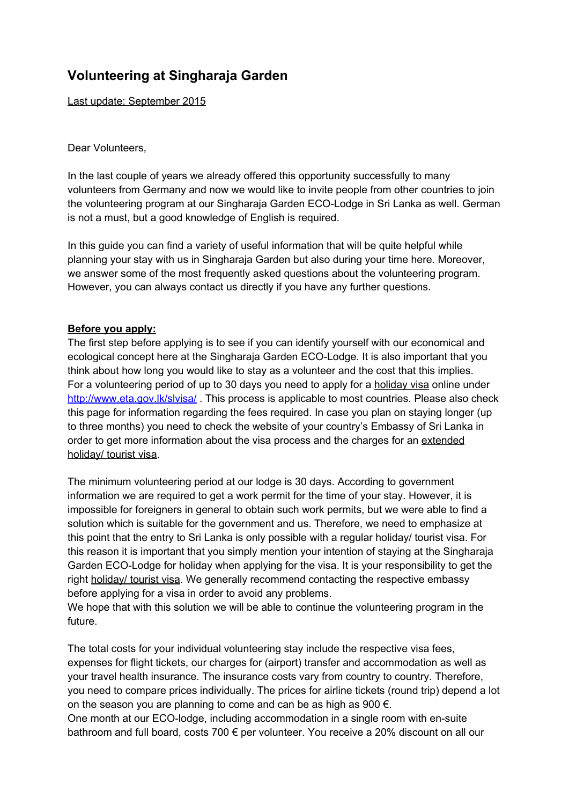# **Volunteering at Singharaja Garden**

Last update: September 2015

#### Dear Volunteers,

In the last couple of years we already offered this opportunity successfully to many volunteers from Germany and now we would like to invite people from other countries to join the volunteering program at our Singharaja Garden ECO-Lodge in Sri Lanka as well. German is not a must, but a good knowledge of English is required.

In this guide you can find a variety of useful information that will be quite helpful while planning your stay with us in Singharaja Garden but also during your time here. Moreover, we answer some of the most frequently asked questions about the volunteering program. However, you can always contact us directly if you have any further questions.

### **Before you apply:**

The first step before applying is to see if you can identify yourself with our economical and ecological concept here at the Singharaja Garden ECO-Lodge. It is also important that you think about how long you would like to stay as a volunteer and the cost that this implies. For a volunteering period of up to 30 days you need to apply for a holiday visa online under <http://www.eta.gov.lk/slvisa/>. This process is applicable to most countries. Please also check this page for information regarding the fees required. In case you plan on staying longer (up to three months) you need to check the website of your country's Embassy of Sri Lanka in order to get more information about the visa process and the charges for an extended holiday/ tourist visa.

The minimum volunteering period at our lodge is 30 days. According to government information we are required to get a work permit for the time of your stay. However, it is impossible for foreigners in general to obtain such work permits, but we were able to find a solution which is suitable for the government and us. Therefore, we need to emphasize at this point that the entry to Sri Lanka is only possible with a regular holiday/ tourist visa. For this reason it is important that you simply mention your intention of staying at the Singharaja Garden ECO-Lodge for holiday when applying for the visa. It is your responsibility to get the right holiday/ tourist visa. We generally recommend contacting the respective embassy before applying for a visa in order to avoid any problems.

We hope that with this solution we will be able to continue the volunteering program in the future.

The total costs for your individual volunteering stay include the respective visa fees, expenses for flight tickets, our charges for (airport) transfer and accommodation as well as your travel health insurance. The insurance costs vary from country to country. Therefore, you need to compare prices individually. The prices for airline tickets (round trip) depend a lot on the season you are planning to come and can be as high as 900  $\epsilon$ . One month at our ECO-lodge, including accommodation in a single room with en-suite bathroom and full board, costs 700 € per volunteer. You receive a 20% discount on all our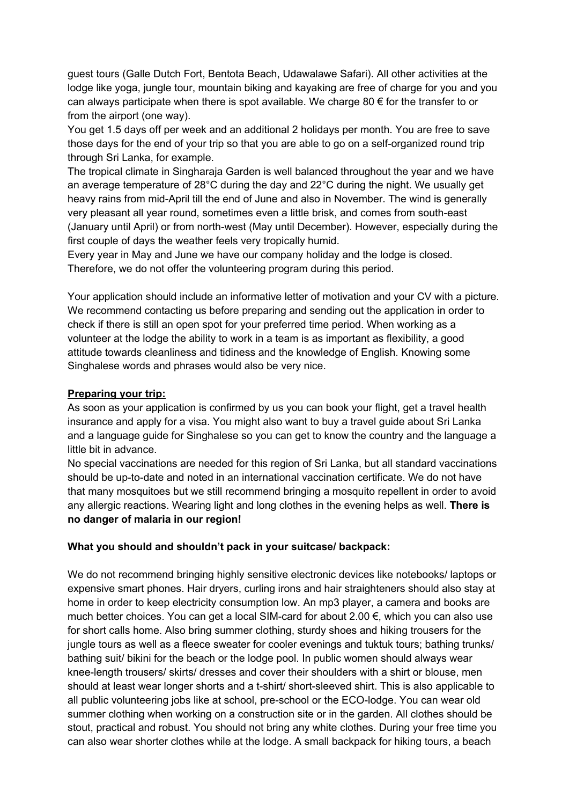guest tours (Galle Dutch Fort, Bentota Beach, Udawalawe Safari). All other activities at the lodge like yoga, jungle tour, mountain biking and kayaking are free of charge for you and you can always participate when there is spot available. We charge 80  $\epsilon$  for the transfer to or from the airport (one way).

You get 1.5 days off per week and an additional 2 holidays per month. You are free to save those days for the end of your trip so that you are able to go on a self-organized round trip through Sri Lanka, for example.

The tropical climate in Singharaja Garden is well balanced throughout the year and we have an average temperature of 28°C during the day and 22°C during the night. We usually get heavy rains from mid-April till the end of June and also in November. The wind is generally very pleasant all year round, sometimes even a little brisk, and comes from south-east (January until April) or from north-west (May until December). However, especially during the first couple of days the weather feels very tropically humid.

Every year in May and June we have our company holiday and the lodge is closed. Therefore, we do not offer the volunteering program during this period.

Your application should include an informative letter of motivation and your CV with a picture. We recommend contacting us before preparing and sending out the application in order to check if there is still an open spot for your preferred time period. When working as a volunteer at the lodge the ability to work in a team is as important as flexibility, a good attitude towards cleanliness and tidiness and the knowledge of English. Knowing some Singhalese words and phrases would also be very nice.

#### **Preparing your trip:**

As soon as your application is confirmed by us you can book your flight, get a travel health insurance and apply for a visa. You might also want to buy a travel guide about Sri Lanka and a language guide for Singhalese so you can get to know the country and the language a little bit in advance.

No special vaccinations are needed for this region of Sri Lanka, but all standard vaccinations should be up-to-date and noted in an international vaccination certificate. We do not have that many mosquitoes but we still recommend bringing a mosquito repellent in order to avoid any allergic reactions. Wearing light and long clothes in the evening helps as well. **There is no danger of malaria in our region!**

#### **What you should and shouldn't pack in your suitcase/ backpack:**

We do not recommend bringing highly sensitive electronic devices like notebooks/ laptops or expensive smart phones. Hair dryers, curling irons and hair straighteners should also stay at home in order to keep electricity consumption low. An mp3 player, a camera and books are much better choices. You can get a local SIM-card for about 2.00 €, which you can also use for short calls home. Also bring summer clothing, sturdy shoes and hiking trousers for the jungle tours as well as a fleece sweater for cooler evenings and tuktuk tours; bathing trunks/ bathing suit/ bikini for the beach or the lodge pool. In public women should always wear knee-length trousers/ skirts/ dresses and cover their shoulders with a shirt or blouse, men should at least wear longer shorts and a t-shirt/ short-sleeved shirt. This is also applicable to all public volunteering jobs like at school, pre-school or the ECO-lodge. You can wear old summer clothing when working on a construction site or in the garden. All clothes should be stout, practical and robust. You should not bring any white clothes. During your free time you can also wear shorter clothes while at the lodge. A small backpack for hiking tours, a beach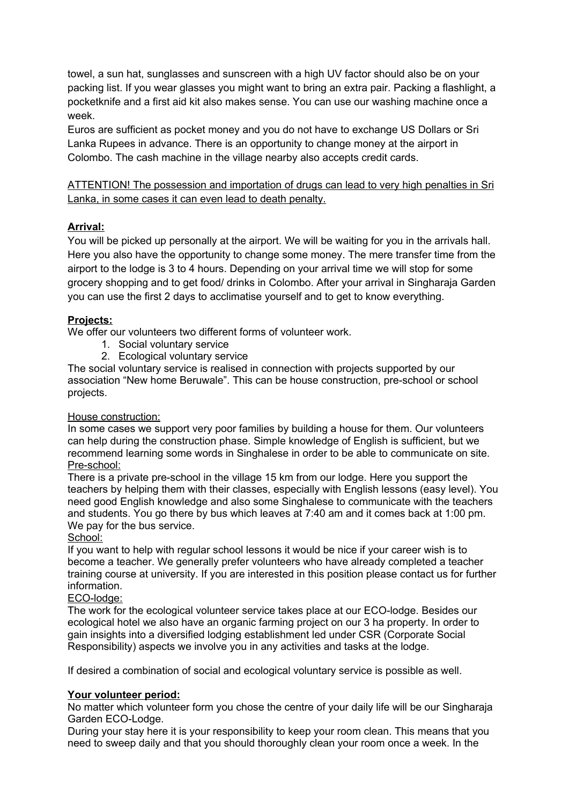towel, a sun hat, sunglasses and sunscreen with a high UV factor should also be on your packing list. If you wear glasses you might want to bring an extra pair. Packing a flashlight, a pocketknife and a first aid kit also makes sense. You can use our washing machine once a week.

Euros are sufficient as pocket money and you do not have to exchange US Dollars or Sri Lanka Rupees in advance. There is an opportunity to change money at the airport in Colombo. The cash machine in the village nearby also accepts credit cards.

ATTENTION! The possession and importation of drugs can lead to very high penalties in Sri Lanka, in some cases it can even lead to death penalty.

## **Arrival:**

You will be picked up personally at the airport. We will be waiting for you in the arrivals hall. Here you also have the opportunity to change some money. The mere transfer time from the airport to the lodge is 3 to 4 hours. Depending on your arrival time we will stop for some grocery shopping and to get food/ drinks in Colombo. After your arrival in Singharaja Garden you can use the first 2 days to acclimatise yourself and to get to know everything.

### **Projects:**

We offer our volunteers two different forms of volunteer work.

- 1. Social voluntary service
- 2. Ecological voluntary service

The social voluntary service is realised in connection with projects supported by our association "New home Beruwale". This can be house construction, pre-school or school projects.

### House construction:

In some cases we support very poor families by building a house for them. Our volunteers can help during the construction phase. Simple knowledge of English is sufficient, but we recommend learning some words in Singhalese in order to be able to communicate on site. Pre-school:

There is a private pre-school in the village 15 km from our lodge. Here you support the teachers by helping them with their classes, especially with English lessons (easy level). You need good English knowledge and also some Singhalese to communicate with the teachers and students. You go there by bus which leaves at 7:40 am and it comes back at 1:00 pm. We pay for the bus service.

### School:

If you want to help with regular school lessons it would be nice if your career wish is to become a teacher. We generally prefer volunteers who have already completed a teacher training course at university. If you are interested in this position please contact us for further information.

### ECO-lodge:

The work for the ecological volunteer service takes place at our ECO-lodge. Besides our ecological hotel we also have an organic farming project on our 3 ha property. In order to gain insights into a diversified lodging establishment led under CSR (Corporate Social Responsibility) aspects we involve you in any activities and tasks at the lodge.

If desired a combination of social and ecological voluntary service is possible as well.

### **Your volunteer period:**

No matter which volunteer form you chose the centre of your daily life will be our Singharaja Garden ECO-Lodge.

During your stay here it is your responsibility to keep your room clean. This means that you need to sweep daily and that you should thoroughly clean your room once a week. In the